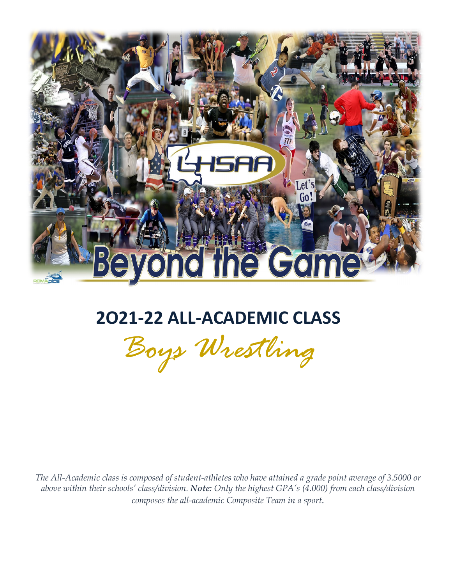

## **2O21-22 ALL-ACADEMIC CLASS**

*Boys Wrestling*

 *The All-Academic class is composed of student-athletes who have attained a grade point average of 3.5000 or above within their schools' class/division. Note: Only the highest GPA's (4.000) from each class/division composes the all-academic Composite Team in a sport.*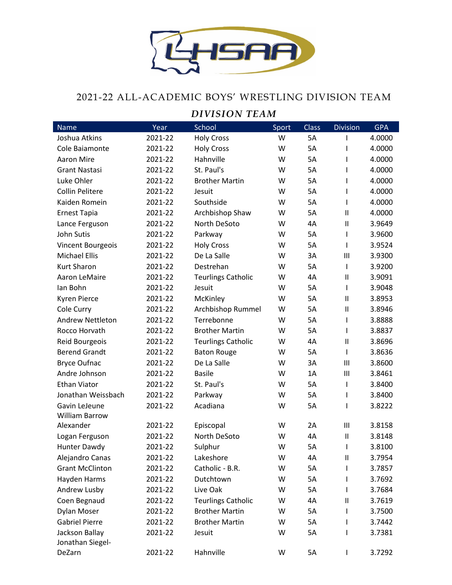

## 2021-22 ALL-ACADEMIC BOYS' WRESTLING DIVISION TEAM

## *DIVISION TEAM*

| <b>Name</b>             | Year    | School                    | Sport | <b>Class</b> | <b>Division</b>            | <b>GPA</b> |
|-------------------------|---------|---------------------------|-------|--------------|----------------------------|------------|
| Joshua Atkins           | 2021-22 | <b>Holy Cross</b>         | W     | <b>5A</b>    |                            | 4.0000     |
| Cole Baiamonte          | 2021-22 | <b>Holy Cross</b>         | W     | <b>5A</b>    | I                          | 4.0000     |
| <b>Aaron Mire</b>       | 2021-22 | Hahnville                 | W     | <b>5A</b>    | I                          | 4.0000     |
| <b>Grant Nastasi</b>    | 2021-22 | St. Paul's                | W     | <b>5A</b>    | I                          | 4.0000     |
| Luke Ohler              | 2021-22 | <b>Brother Martin</b>     | W     | <b>5A</b>    | I                          | 4.0000     |
| <b>Collin Pelitere</b>  | 2021-22 | Jesuit                    | W     | <b>5A</b>    | I                          | 4.0000     |
| Kaiden Romein           | 2021-22 | Southside                 | W     | <b>5A</b>    | $\mathbf{I}$               | 4.0000     |
| <b>Ernest Tapia</b>     | 2021-22 | Archbishop Shaw           | W     | <b>5A</b>    | $\mathbf{I}$               | 4.0000     |
| Lance Ferguson          | 2021-22 | North DeSoto              | W     | 4A           | $\mathsf{I}$               | 3.9649     |
| John Sutis              | 2021-22 | Parkway                   | W     | <b>5A</b>    | $\mathsf{I}$               | 3.9600     |
| Vincent Bourgeois       | 2021-22 | <b>Holy Cross</b>         | W     | <b>5A</b>    | I                          | 3.9524     |
| <b>Michael Ellis</b>    | 2021-22 | De La Salle               | W     | 3A           | $\mathbf{III}$             | 3.9300     |
| <b>Kurt Sharon</b>      | 2021-22 | Destrehan                 | W     | <b>5A</b>    | $\mathbf{I}$               | 3.9200     |
| Aaron LeMaire           | 2021-22 | <b>Teurlings Catholic</b> | W     | 4A           | $\mathsf{I}$               | 3.9091     |
| Ian Bohn                | 2021-22 | Jesuit                    | W     | <b>5A</b>    | $\mathsf{l}$               | 3.9048     |
| <b>Kyren Pierce</b>     | 2021-22 | McKinley                  | W     | 5A           | $\mathbf{I}$               | 3.8953     |
| Cole Curry              | 2021-22 | Archbishop Rummel         | W     | <b>5A</b>    | $\mathbf{I}$               | 3.8946     |
| <b>Andrew Nettleton</b> | 2021-22 | Terrebonne                | W     | 5A           | $\mathsf{I}$               | 3.8888     |
| Rocco Horvath           | 2021-22 | <b>Brother Martin</b>     | W     | <b>5A</b>    | I                          | 3.8837     |
| Reid Bourgeois          | 2021-22 | <b>Teurlings Catholic</b> | W     | 4A           | $\mathbf{I}$               | 3.8696     |
| <b>Berend Grandt</b>    | 2021-22 | <b>Baton Rouge</b>        | W     | 5A           | $\mathsf{I}$               | 3.8636     |
| <b>Bryce Oufnac</b>     | 2021-22 | De La Salle               | W     | 3A           | III                        | 3.8600     |
| Andre Johnson           | 2021-22 | <b>Basile</b>             | W     | 1A           | Ш                          | 3.8461     |
| <b>Ethan Viator</b>     | 2021-22 | St. Paul's                | W     | <b>5A</b>    | $\mathsf{l}$               | 3.8400     |
| Jonathan Weissbach      | 2021-22 | Parkway                   | W     | 5A           | I                          | 3.8400     |
| Gavin LeJeune           | 2021-22 | Acadiana                  | W     | 5A           | I                          | 3.8222     |
| <b>William Barrow</b>   |         |                           |       |              |                            |            |
| Alexander               | 2021-22 | Episcopal                 | W     | 2A           | III                        | 3.8158     |
| Logan Ferguson          | 2021-22 | North DeSoto              | W     | 4A           | $\sf II$                   | 3.8148     |
| Hunter Dawdy            | 2021-22 | Sulphur                   | W     | 5A           | $\mathsf{I}$               | 3.8100     |
| Alejandro Canas         | 2021-22 | Lakeshore                 | W     | 4A           | $\ensuremath{\mathsf{II}}$ | 3.7954     |
| <b>Grant McClinton</b>  | 2021-22 | Catholic - B.R.           | W     | 5A           |                            | 3.7857     |
| Hayden Harms            | 2021-22 | Dutchtown                 | W     | 5A           |                            | 3.7692     |
| Andrew Lusby            | 2021-22 | Live Oak                  | W     | 5A           | L                          | 3.7684     |
| Coen Begnaud            | 2021-22 | <b>Teurlings Catholic</b> | W     | 4A           | $\sf II$                   | 3.7619     |
| Dylan Moser             | 2021-22 | <b>Brother Martin</b>     | W     | 5A           |                            | 3.7500     |
| <b>Gabriel Pierre</b>   | 2021-22 | <b>Brother Martin</b>     | W     | 5A           |                            | 3.7442     |
| Jackson Ballay          | 2021-22 | Jesuit                    | W     | 5A           | I                          | 3.7381     |
| Jonathan Siegel-        |         |                           |       |              |                            |            |
| DeZarn                  | 2021-22 | Hahnville                 | W     | 5A           | I                          | 3.7292     |